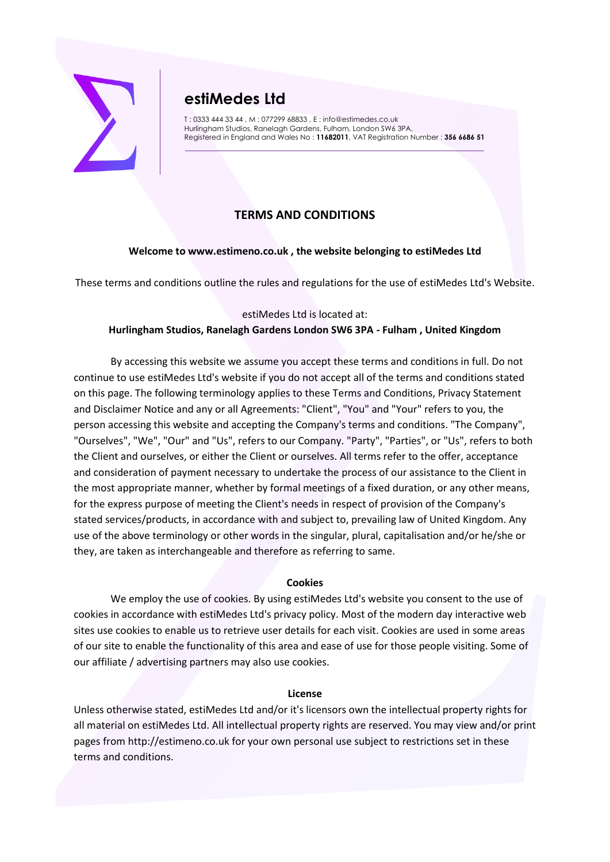

# **estiMedes Ltd**

T : 0333 444 33 44 , M : 077299 68833 , E : info@estimedes.co.uk Hurlingham Studios, Ranelagh Gardens, Fulham, London SW6 3PA, Registered in England and Wales No : **11682011**, VAT Registration Number : **356 6686 51**

## **TERMS AND CONDITIONS**

## **Welcome to www.estimeno.co.uk , the website belonging to estiMedes Ltd**

These terms and conditions outline the rules and regulations for the use of estiMedes Ltd's Website.

## estiMedes Ltd is located at:

## **Hurlingham Studios, Ranelagh Gardens London SW6 3PA - Fulham , United Kingdom**

By accessing this website we assume you accept these terms and conditions in full. Do not continue to use estiMedes Ltd's website if you do not accept all of the terms and conditions stated on this page. The following terminology applies to these Terms and Conditions, Privacy Statement and Disclaimer Notice and any or all Agreements: "Client", "You" and "Your" refers to you, the person accessing this website and accepting the Company's terms and conditions. "The Company", "Ourselves", "We", "Our" and "Us", refers to our Company. "Party", "Parties", or "Us", refers to both the Client and ourselves, or either the Client or ourselves. All terms refer to the offer, acceptance and consideration of payment necessary to undertake the process of our assistance to the Client in the most appropriate manner, whether by formal meetings of a fixed duration, or any other means, for the express purpose of meeting the Client's needs in respect of provision of the Company's stated services/products, in accordance with and subject to, prevailing law of United Kingdom. Any use of the above terminology or other words in the singular, plural, capitalisation and/or he/she or they, are taken as interchangeable and therefore as referring to same.

## **Cookies**

We employ the use of cookies. By using estiMedes Ltd's website you consent to the use of cookies in accordance with estiMedes Ltd's privacy policy. Most of the modern day interactive web sites use cookies to enable us to retrieve user details for each visit. Cookies are used in some areas of our site to enable the functionality of this area and ease of use for those people visiting. Some of our affiliate / advertising partners may also use cookies.

## **License**

Unless otherwise stated, estiMedes Ltd and/or it's licensors own the intellectual property rights for all material on estiMedes Ltd. All intellectual property rights are reserved. You may view and/or print pages from http://estimeno.co.uk for your own personal use subject to restrictions set in these terms and conditions.